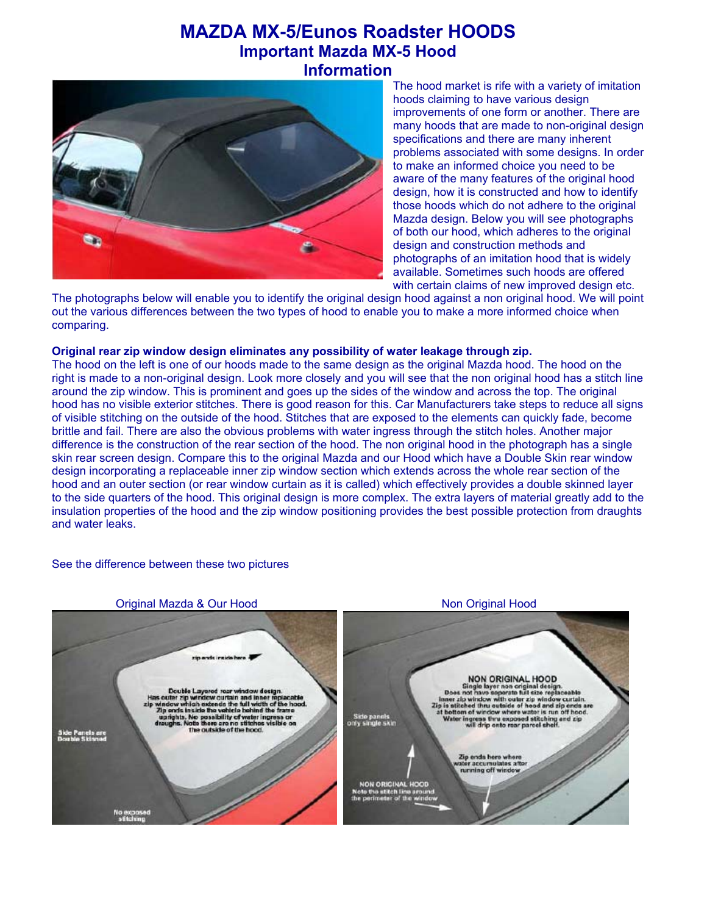# **MAZDA MX-5/Eunos Roadster HOODS Important Mazda MX-5 Hood Information**



The hood market is rife with a variety of imitation hoods claiming to have various design improvements of one form or another. There are many hoods that are made to non-original design specifications and there are many inherent problems associated with some designs. In order to make an informed choice you need to be aware of the many features of the original hood design, how it is constructed and how to identify those hoods which do not adhere to the original Mazda design. Below you will see photographs of both our hood, which adheres to the original design and construction methods and photographs of an imitation hood that is widely available. Sometimes such hoods are offered with certain claims of new improved design etc.

The photographs below will enable you to identify the original design hood against a non original hood. We will point out the various differences between the two types of hood to enable you to make a more informed choice when comparing.

#### **Original rear zip window design eliminates any possibility of water leakage through zip.**

The hood on the left is one of our hoods made to the same design as the original Mazda hood. The hood on the right is made to a non-original design. Look more closely and you will see that the non original hood has a stitch line around the zip window. This is prominent and goes up the sides of the window and across the top. The original hood has no visible exterior stitches. There is good reason for this. Car Manufacturers take steps to reduce all signs of visible stitching on the outside of the hood. Stitches that are exposed to the elements can quickly fade, become brittle and fail. There are also the obvious problems with water ingress through the stitch holes. Another major difference is the construction of the rear section of the hood. The non original hood in the photograph has a single skin rear screen design. Compare this to the original Mazda and our Hood which have a Double Skin rear window design incorporating a replaceable inner zip window section which extends across the whole rear section of the hood and an outer section (or rear window curtain as it is called) which effectively provides a double skinned layer to the side quarters of the hood. This original design is more complex. The extra layers of material greatly add to the insulation properties of the hood and the zip window positioning provides the best possible protection from draughts and water leaks.

## See the difference between these two pictures